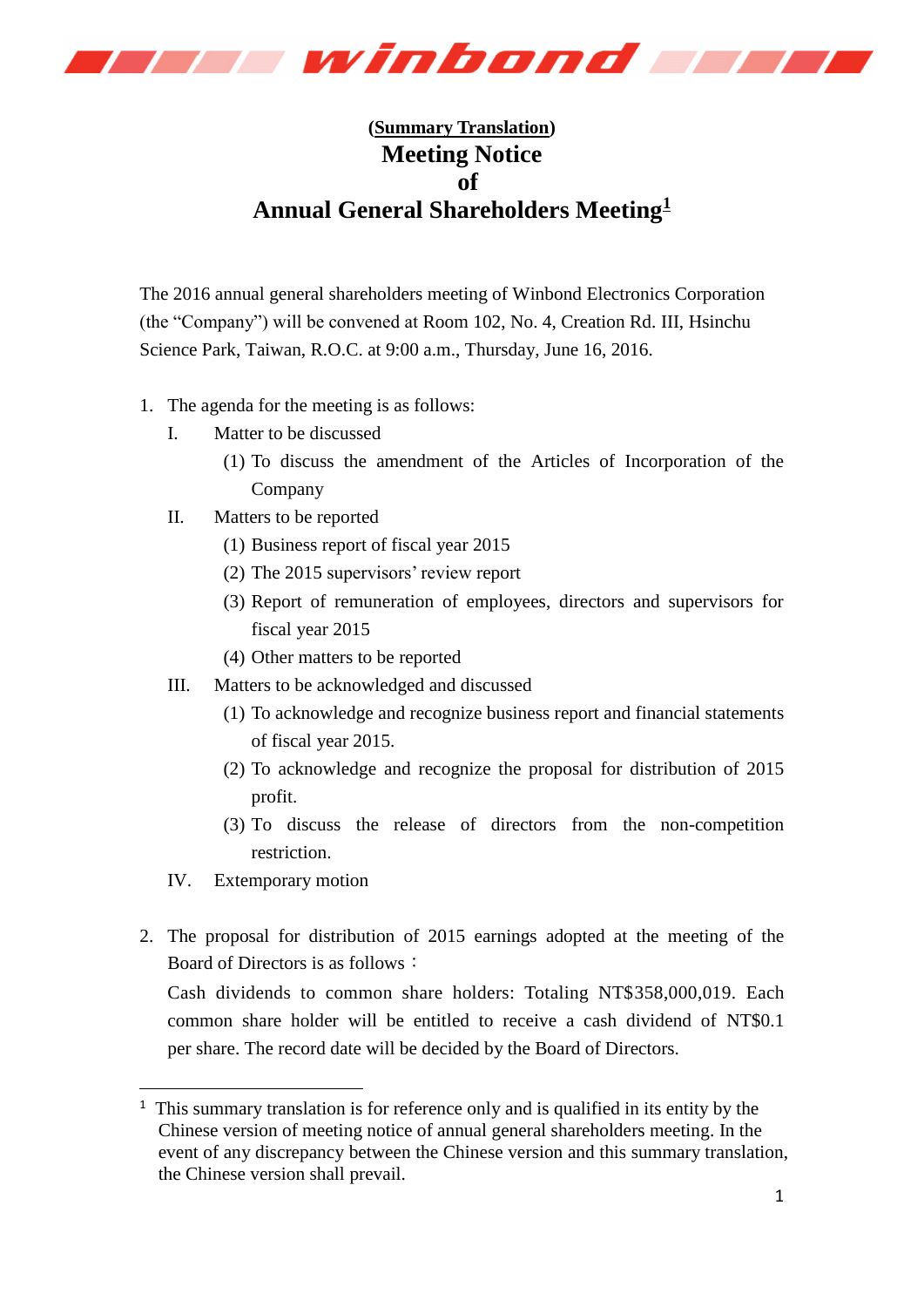

## **(Summary Translation) Meeting Notice of Annual General Shareholders Meeting<sup>1</sup>**

The 2016 annual general shareholders meeting of Winbond Electronics Corporation (the "Company") will be convened at Room 102, No. 4, Creation Rd. III, Hsinchu Science Park, Taiwan, R.O.C. at 9:00 a.m., Thursday, June 16, 2016.

- 1. The agenda for the meeting is as follows:
	- I. Matter to be discussed
		- (1) To discuss the amendment of the Articles of Incorporation of the Company
	- II. Matters to be reported
		- (1) Business report of fiscal year 2015
		- (2) The 2015 supervisors' review report
		- (3) Report of remuneration of employees, directors and supervisors for fiscal year 2015
		- (4) Other matters to be reported
	- III. Matters to be acknowledged and discussed
		- (1) To acknowledge and recognize business report and financial statements of fiscal year 2015.
		- (2) To acknowledge and recognize the proposal for distribution of 2015 profit.
		- (3) To discuss the release of directors from the non-competition restriction.
	- IV. Extemporary motion

-

2. The proposal for distribution of 2015 earnings adopted at the meeting of the Board of Directors is as follows:

Cash dividends to common share holders: Totaling NT\$358,000,019. Each common share holder will be entitled to receive a cash dividend of NT\$0.1 per share. The record date will be decided by the Board of Directors.

<sup>&</sup>lt;sup>1</sup> This summary translation is for reference only and is qualified in its entity by the Chinese version of meeting notice of annual general shareholders meeting. In the event of any discrepancy between the Chinese version and this summary translation, the Chinese version shall prevail.